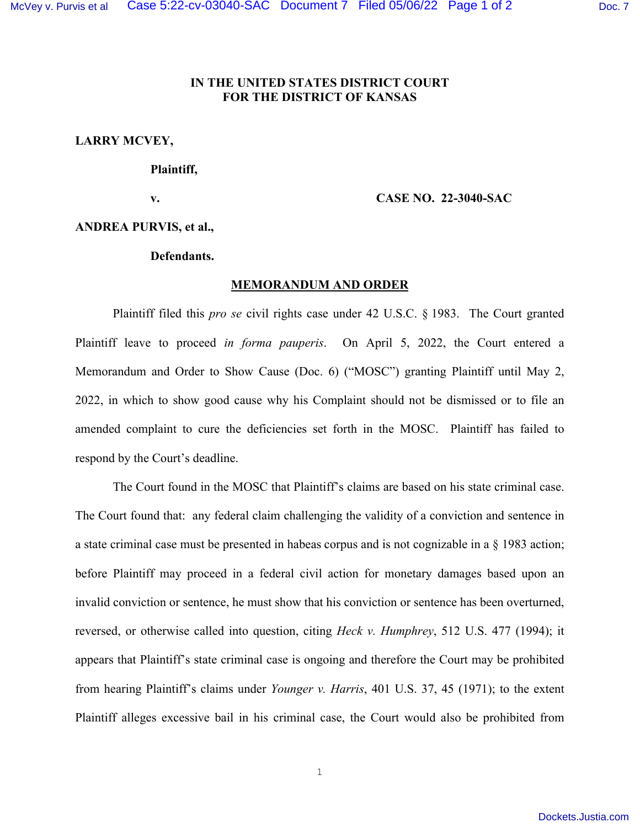# **IN THE UNITED STATES DISTRICT COURT FOR THE DISTRICT OF KANSAS**

**LARRY MCVEY,** 

### **Plaintiff,**

# **v. CASE NO. 22-3040-SAC**

**ANDREA PURVIS, et al.,** 

## **Defendants.**

## **MEMORANDUM AND ORDER**

 Plaintiff filed this *pro se* civil rights case under 42 U.S.C. § 1983. The Court granted Plaintiff leave to proceed *in forma pauperis*. On April 5, 2022, the Court entered a Memorandum and Order to Show Cause (Doc. 6) ("MOSC") granting Plaintiff until May 2, 2022, in which to show good cause why his Complaint should not be dismissed or to file an amended complaint to cure the deficiencies set forth in the MOSC. Plaintiff has failed to respond by the Court's deadline.

 The Court found in the MOSC that Plaintiff's claims are based on his state criminal case. The Court found that: any federal claim challenging the validity of a conviction and sentence in a state criminal case must be presented in habeas corpus and is not cognizable in a § 1983 action; before Plaintiff may proceed in a federal civil action for monetary damages based upon an invalid conviction or sentence, he must show that his conviction or sentence has been overturned, reversed, or otherwise called into question, citing *Heck v. Humphrey*, 512 U.S. 477 (1994); it appears that Plaintiff's state criminal case is ongoing and therefore the Court may be prohibited from hearing Plaintiff's claims under *Younger v. Harris*, 401 U.S. 37, 45 (1971); to the extent Plaintiff alleges excessive bail in his criminal case, the Court would also be prohibited from